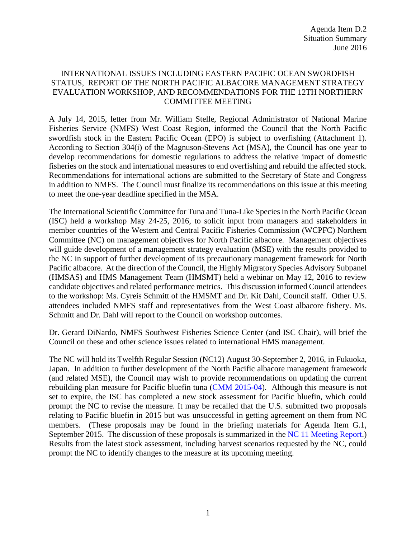## INTERNATIONAL ISSUES INCLUDING EASTERN PACIFIC OCEAN SWORDFISH STATUS, REPORT OF THE NORTH PACIFIC ALBACORE MANAGEMENT STRATEGY EVALUATION WORKSHOP, AND RECOMMENDATIONS FOR THE 12TH NORTHERN COMMITTEE MEETING

A July 14, 2015, letter from Mr. William Stelle, Regional Administrator of National Marine Fisheries Service (NMFS) West Coast Region, informed the Council that the North Pacific swordfish stock in the Eastern Pacific Ocean (EPO) is subject to overfishing (Attachment 1). According to Section 304(i) of the Magnuson-Stevens Act (MSA), the Council has one year to develop recommendations for domestic regulations to address the relative impact of domestic fisheries on the stock and international measures to end overfishing and rebuild the affected stock. Recommendations for international actions are submitted to the Secretary of State and Congress in addition to NMFS. The Council must finalize its recommendations on this issue at this meeting to meet the one-year deadline specified in the MSA.

The International Scientific Committee for Tuna and Tuna-Like Species in the North Pacific Ocean (ISC) held a workshop May 24-25, 2016, to solicit input from managers and stakeholders in member countries of the Western and Central Pacific Fisheries Commission (WCPFC) Northern Committee (NC) on management objectives for North Pacific albacore. Management objectives will guide development of a management strategy evaluation (MSE) with the results provided to the NC in support of further development of its precautionary management framework for North Pacific albacore. At the direction of the Council, the Highly Migratory Species Advisory Subpanel (HMSAS) and HMS Management Team (HMSMT) held a webinar on May 12, 2016 to review candidate objectives and related performance metrics. This discussion informed Council attendees to the workshop: Ms. Cyreis Schmitt of the HMSMT and Dr. Kit Dahl, Council staff. Other U.S. attendees included NMFS staff and representatives from the West Coast albacore fishery. Ms. Schmitt and Dr. Dahl will report to the Council on workshop outcomes.

Dr. Gerard DiNardo, NMFS Southwest Fisheries Science Center (and ISC Chair), will brief the Council on these and other science issues related to international HMS management.

The NC will hold its Twelfth Regular Session (NC12) August 30-September 2, 2016, in Fukuoka, Japan. In addition to further development of the North Pacific albacore management framework (and related MSE), the Council may wish to provide recommendations on updating the current rebuilding plan measure for Pacific bluefin tuna [\(CMM 2015-04\)](http://www.wcpfc.int/system/files/CMM%202015-04%20Conservation%20and%20Management%20Measure%20to%20establish%20a%20multi-annual%20rebuilding%20plan%20for%20Pacific%20Bluefin.pdf). Although this measure is not set to expire, the ISC has completed a new stock assessment for Pacific bluefin, which could prompt the NC to revise the measure. It may be recalled that the U.S. submitted two proposals relating to Pacific bluefin in 2015 but was unsuccessful in getting agreement on them from NC members. (These proposals may be found in the briefing materials for Agenda Item G.1, September 2015. The discussion of these proposals is summarized in the [NC 11 Meeting Report.](http://www.wcpfc.int/system/files/0_NC11%20Summary%20Report%20-%20adopted%20-%2004Dec2015.docx)) Results from the latest stock assessment, including harvest scenarios requested by the NC, could prompt the NC to identify changes to the measure at its upcoming meeting.